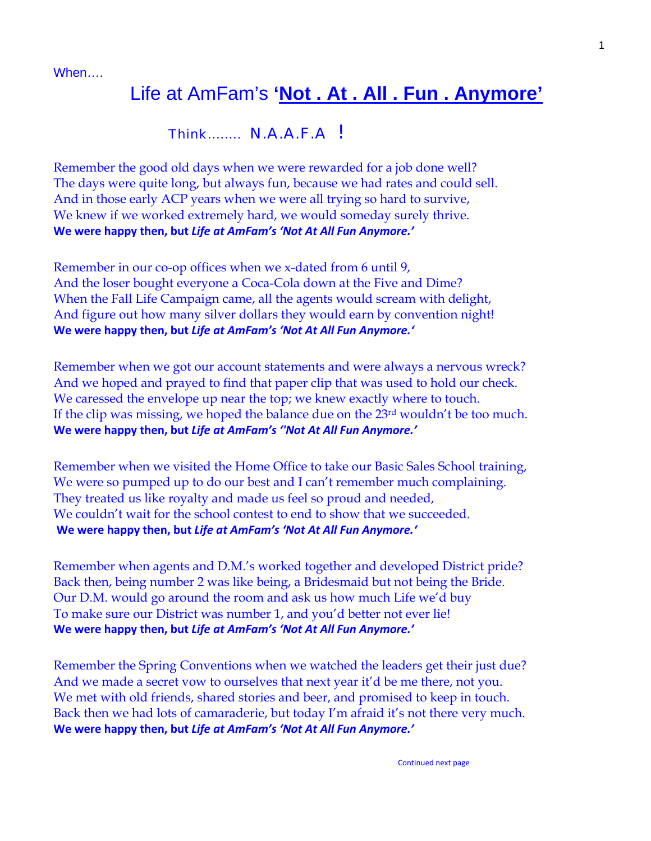When….

## Life at AmFam's **'Not . At . All . Fun . Anymore'**

## Think…….. N.A.A.F.A !

Remember the good old days when we were rewarded for a job done well? The days were quite long, but always fun, because we had rates and could sell. And in those early ACP years when we were all trying so hard to survive, We knew if we worked extremely hard, we would someday surely thrive. **We were happy then, but** *Life at AmFam's 'Not At All Fun Anymore.'*

Remember in our co-op offices when we x-dated from 6 until 9, And the loser bought everyone a Coca-Cola down at the Five and Dime? When the Fall Life Campaign came, all the agents would scream with delight, And figure out how many silver dollars they would earn by convention night! **We were happy then, but** *Life at AmFam's 'Not At All Fun Anymore.'*

Remember when we got our account statements and were always a nervous wreck? And we hoped and prayed to find that paper clip that was used to hold our check. We caressed the envelope up near the top; we knew exactly where to touch. If the clip was missing, we hoped the balance due on the 23rd wouldn't be too much. **We were happy then, but** *Life at AmFam's ''Not At All Fun Anymore.'*

Remember when we visited the Home Office to take our Basic Sales School training, We were so pumped up to do our best and I can't remember much complaining. They treated us like royalty and made us feel so proud and needed, We couldn't wait for the school contest to end to show that we succeeded. **We were happy then, but** *Life at AmFam's 'Not At All Fun Anymore.'*

Remember when agents and D.M.'s worked together and developed District pride? Back then, being number 2 was like being, a Bridesmaid but not being the Bride. Our D.M. would go around the room and ask us how much Life we'd buy To make sure our District was number 1, and you'd better not ever lie! **We were happy then, but** *Life at AmFam's 'Not At All Fun Anymore.'* 

Remember the Spring Conventions when we watched the leaders get their just due? And we made a secret vow to ourselves that next year it'd be me there, not you. We met with old friends, shared stories and beer, and promised to keep in touch. Back then we had lots of camaraderie, but today I'm afraid it's not there very much. **We were happy then, but** *Life at AmFam's 'Not At All Fun Anymore.'*